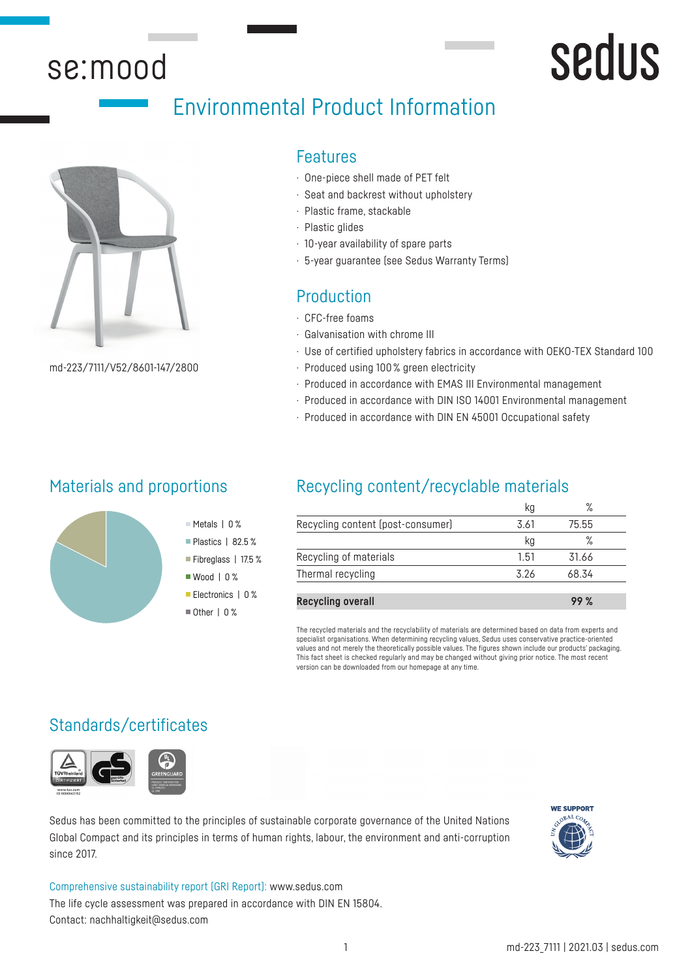## se:mood

## sedus

## Environmental Product Information



md-223/7111/V52/8601-147/2800

## Features

- · One-piece shell made of PET felt
- · Seat and backrest without upholstery
- · Plastic frame, stackable
- · Plastic glides
- · 10-year availability of spare parts
- · 5-year guarantee (see Sedus Warranty Terms)

## Production

- · CFC-free foams
- · Galvanisation with chrome III
- · Use of certified upholstery fabrics in accordance with OEKO-TEX Standard 100
- · Produced using 100 % green electricity
- · Produced in accordance with EMAS III Environmental management
- · Produced in accordance with DIN ISO 14001 Environmental management
- · Produced in accordance with DIN EN 45001 Occupational safety

### Materials and proportions



## Recycling content/recyclable materials

|      | $\circ$<br>$\sqrt{2}$ |  |
|------|-----------------------|--|
| 3.61 | 75.55                 |  |
| kg   |                       |  |
| 1.51 | 31.66                 |  |
| 326  | 68.34                 |  |
|      |                       |  |

**Recycling overall 99 %**

The recycled materials and the recyclability of materials are determined based on data from experts and specialist organisations. When determining recycling values, Sedus uses conservative practice-oriented values and not merely the theoretically possible values. The figures shown include our products' packaging. This fact sheet is checked regularly and may be changed without giving prior notice. The most recent version can be downloaded from our homepage at any time.

## Standards/certificates



Sedus has been committed to the principles of sustainable corporate governance of the United Nations Global Compact and its principles in terms of human rights, labour, the environment and anti-corruption since 2017.



Comprehensive sustainability report (GRI Report): www.sedus.com The life cycle assessment was prepared in accordance with DIN EN 15804. Contact: nachhaltigkeit@sedus.com

Metals | 0 % Plastics | 82.5 % Fibreglass | 17.5 % ■ Wood | 0 % Electronics | 0 %  $\blacksquare$  Other | 0 %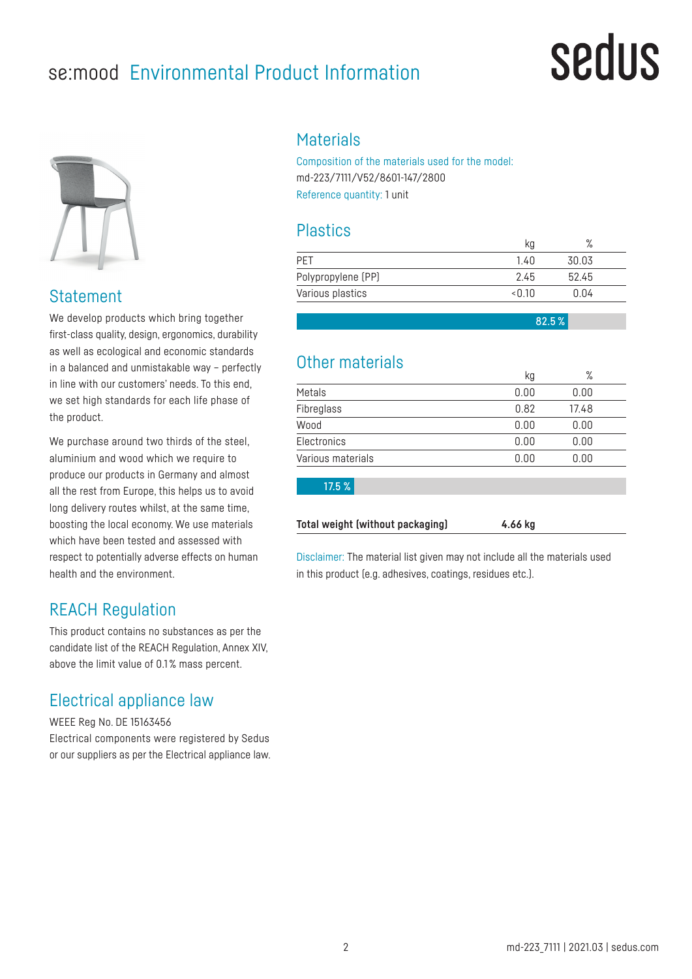## se:mood Environmental Product Information

## sedus



### Statement

We develop products which bring together first-class quality, design, ergonomics, durability as well as ecological and economic standards in a balanced and unmistakable way – perfectly in line with our customers' needs. To this end, we set high standards for each life phase of the product.

We purchase around two thirds of the steel. aluminium and wood which we require to produce our products in Germany and almost all the rest from Europe, this helps us to avoid long delivery routes whilst, at the same time, boosting the local economy. We use materials which have been tested and assessed with respect to potentially adverse effects on human health and the environment.

## REACH Regulation

This product contains no substances as per the candidate list of the REACH Regulation, Annex XIV, above the limit value of 0.1 % mass percent.

## Electrical appliance law

WEEE Reg No. DE 15163456 Electrical components were registered by Sedus or our suppliers as per the Electrical appliance law.

#### **Materials**

Composition of the materials used for the model: md-223/7111/V52/8601-147/2800 Reference quantity: 1 unit

### **Plastics**

|                    | kg    | $\sqrt{\circ}$ |  |
|--------------------|-------|----------------|--|
| <b>PFT</b>         | 1.40  | 30.03          |  |
| Polypropylene (PP) | 2.45  | 52.45          |  |
| Various plastics   | <በ 1በ | 0.04           |  |

82.5 %

## Other materials

|                   | kg   | %     |  |
|-------------------|------|-------|--|
| Metals            | 0.00 | 0.00  |  |
| Fibreglass        | 0.82 | 17.48 |  |
| Wood              | 0.00 | 0.00  |  |
| Electronics       | 0.00 | 0.00  |  |
| Various materials | 0.00 | 0.00  |  |
| 17.5 %            |      |       |  |
|                   |      |       |  |

Disclaimer: The material list given may not include all the materials used in this product (e.g. adhesives, coatings, residues etc.).

**Total weight (without packaging) 4.66 kg**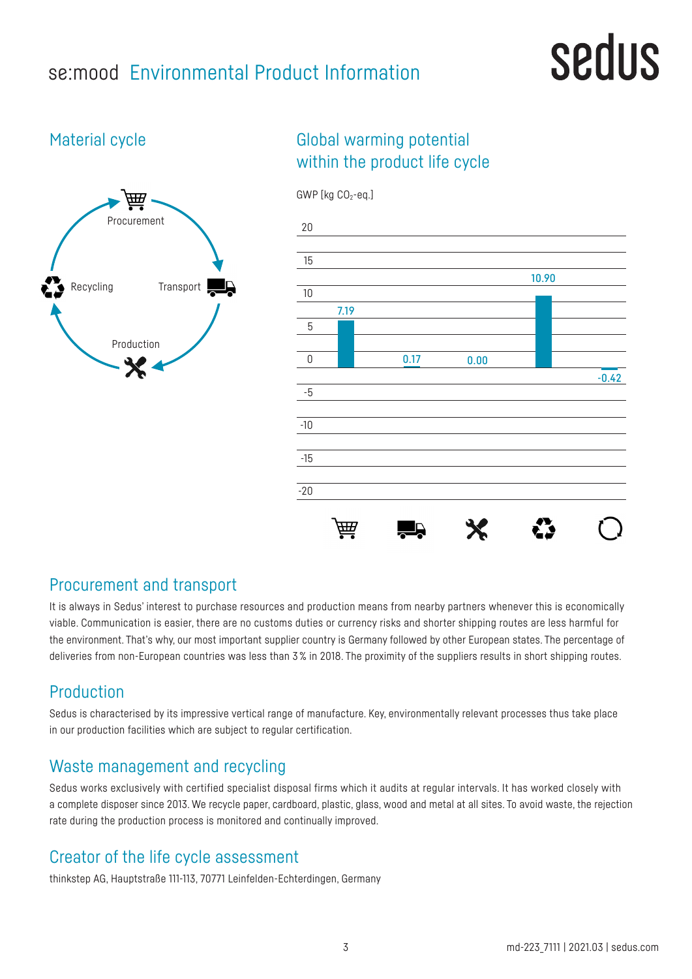## se:mood Environmental Product Information

## sedus

## Material cycle



## Global warming potential within the product life cycle



### Procurement and transport

It is always in Sedus' interest to purchase resources and production means from nearby partners whenever this is economically viable. Communication is easier, there are no customs duties or currency risks and shorter shipping routes are less harmful for the environment. That's why, our most important supplier country is Germany followed by other European states. The percentage of deliveries from non-European countries was less than 3% in 2018. The proximity of the suppliers results in short shipping routes.

## Production

Sedus is characterised by its impressive vertical range of manufacture. Key, environmentally relevant processes thus take place in our production facilities which are subject to regular certification.

## Waste management and recycling

Sedus works exclusively with certified specialist disposal firms which it audits at regular intervals. It has worked closely with a complete disposer since 2013. We recycle paper, cardboard, plastic, glass, wood and metal at all sites. To avoid waste, the rejection rate during the production process is monitored and continually improved.

## Creator of the life cycle assessment

thinkstep AG, Hauptstraße 111-113, 70771 Leinfelden-Echterdingen, Germany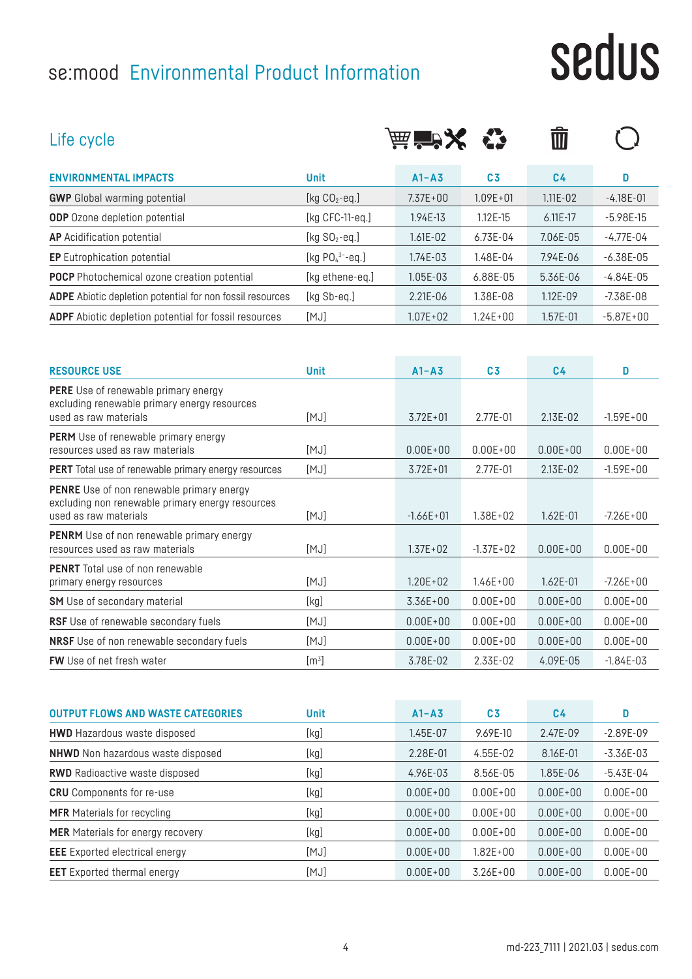## se:mood Environmental Product Information

**FW** Use of net fresh water  $[m^3]$ 

# sedus

| Life cycle                                                                                                                    |                    | <b>扁盲入</b>    |                | णि             |               |
|-------------------------------------------------------------------------------------------------------------------------------|--------------------|---------------|----------------|----------------|---------------|
| <b>ENVIRONMENTAL IMPACTS</b>                                                                                                  | <b>Unit</b>        | $A1 - A3$     | C <sub>3</sub> | C <sub>4</sub> | D.            |
| <b>GWP</b> Global warming potential                                                                                           | [kg $CO2$ -eq.]    | $7.37E + 00$  | $1.09E + 01$   | $1.11E - 02$   | $-4.18E - 01$ |
| <b>ODP</b> Ozone depletion potential                                                                                          | [ $kg$ CFC-11-eq.] | 1.94E-13      | 1.12E-15       | $6.11E-17$     | $-5.98E-15$   |
| <b>AP</b> Acidification potential                                                                                             | [kg $SO_2$ -eq.]   | $1.61E - 02$  | $6.73E - 04$   | 7.06E-05       | $-4.77E-04$   |
| <b>EP</b> Eutrophication potential                                                                                            | [kg $PO_4^3$ -eq.] | 1.74E-03      | 1.48E-04       | 7.94E-06       | $-6.38E-05$   |
| <b>POCP</b> Photochemical ozone creation potential                                                                            | [kg ethene-eq.]    | 1.05E-03      | 6.88E-05       | 5.36E-06       | $-4.84E - 05$ |
| ADPE Abiotic depletion potential for non fossil resources                                                                     | [kg Sb-eq.]        | 2.21E-06      | 1.38E-08       | 1.12E-09       | $-7.38E-08$   |
| <b>ADPF</b> Abiotic depletion potential for fossil resources                                                                  | [MJ]               | $1.07E + 02$  | $1.24E + 00$   | $1.57E - 01$   | $-5.87E + 00$ |
|                                                                                                                               |                    |               |                |                |               |
| <b>RESOURCE USE</b>                                                                                                           | <b>Unit</b>        | $A1 - A3$     | C <sub>3</sub> | C <sub>4</sub> | D             |
| <b>PERE</b> Use of renewable primary energy<br>excluding renewable primary energy resources<br>used as raw materials          | [MJ]               | $3.72E + 01$  | 2.77E-01       | 2.13E-02       | $-1.59E + 00$ |
| <b>PERM</b> Use of renewable primary energy<br>resources used as raw materials                                                | [MJ]               | $0.00E + 00$  | $0.00E + 00$   | $0.00E + 00$   | $0.00E + 00$  |
| <b>PERT</b> Total use of renewable primary energy resources                                                                   | [MJ]               | $3.72E + 01$  | 2.77E-01       | 2.13E-02       | $-1.59E + 00$ |
| <b>PENRE</b> Use of non renewable primary energy<br>excluding non renewable primary energy resources<br>used as raw materials | [MJ]               | $-1.66E + 01$ | $1.38E + 02$   | 1.62E-01       | $-7.26E + 00$ |
| <b>PENRM</b> Use of non renewable primary energy<br>resources used as raw materials                                           | [MJ]               | $1.37E + 02$  | $-1.37E + 02$  | $0.00E + 00$   | $0.00E + 00$  |
| <b>PENRT</b> Total use of non renewable<br>primary energy resources                                                           | [MJ]               | $1.20E + 02$  | $1.46E + 00$   | $1.62E - 01$   | $-7.26E + 00$ |
| <b>SM</b> Use of secondary material                                                                                           | [kg]               | $3.36E + 00$  | $0.00E + 00$   | $0.00E + 00$   | $0.00E + 00$  |

| <b>OUTPUT FLOWS AND WASTE CATEGORIES</b> | <b>Unit</b> | $A1 - A3$    | C <sub>3</sub> | C <sub>4</sub> | D            |
|------------------------------------------|-------------|--------------|----------------|----------------|--------------|
| <b>HWD</b> Hazardous waste disposed      | [kg]        | 1.45E-07     | 9.69E-10       | 2.47E-09       | $-2.89E-09$  |
| <b>NHWD</b> Non hazardous waste disposed | [kg]        | 2.28E-01     | $4.55E-02$     | 8.16E-01       | $-3.36E-03$  |
| <b>RWD</b> Radioactive waste disposed    | [kg]        | 4.96E-03     | 8.56E-05       | 1.85E-06       | $-5.43E-04$  |
| <b>CRU</b> Components for re-use         | [kg]        | $0.00E + 00$ | $0.00E + 00$   | $0.00E + 00$   | $0.00E + 00$ |
| <b>MFR</b> Materials for recycling       | [kg]        | $0.00E + 00$ | $0.00E + 00$   | $0.00E + 00$   | $0.00E + 00$ |
| <b>MER</b> Materials for energy recovery | [kg]        | $0.00E + 00$ | $0.00E + 00$   | $0.00E + 00$   | $0.00E + 00$ |
| <b>EEE</b> Exported electrical energy    | [MJ]        | $0.00E + 00$ | $1.82E + 00$   | $0.00E + 00$   | $0.00E + 00$ |
| <b>EET</b> Exported thermal energy       | [MJ]        | $0.00E + 00$ | $3.26E + 00$   | $0.00E + 00$   | $0.00E + 00$ |

**RSF** Use of renewable secondary fuels [MJ] 0.00E+00 0.00E+00 0.00E+00 0.00E+00 0.00E+00 **NRSF** Use of non renewable secondary fuels [MJ] 0.00E+00 0.00E+00 0.00E+00 0.00E+00 0.00E+00

] 3.78E-02 2.33E-02 4.09E-05 -1.84E-03